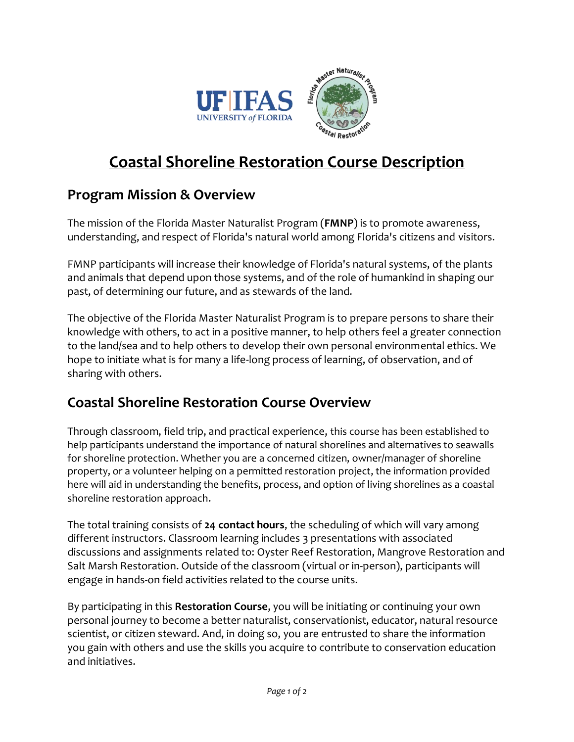

## **Coastal Shoreline Restoration Course Description**

## **Program Mission & Overview**

The mission of the Florida Master Naturalist Program (**FMNP**) is to promote awareness, understanding, and respect of Florida's natural world among Florida's citizens and visitors.

FMNP participants will increase their knowledge of Florida's natural systems, of the plants and animals that depend upon those systems, and of the role of humankind in shaping our past, of determining our future, and as stewards of the land.

The objective of the Florida Master Naturalist Program is to prepare persons to share their knowledge with others, to act in a positive manner, to help others feel a greater connection to the land/sea and to help others to develop their own personal environmental ethics. We hope to initiate what is for many a life-long process of learning, of observation, and of sharing with others.

## **Coastal Shoreline Restoration Course Overview**

Through classroom, field trip, and practical experience, this course has been established to help participants understand the importance of natural shorelines and alternatives to seawalls for shoreline protection. Whether you are a concerned citizen, owner/manager of shoreline property, or a volunteer helping on a permitted restoration project, the information provided here will aid in understanding the benefits, process, and option of living shorelines as a coastal shoreline restoration approach.

The total training consists of **24 contact hours**, the scheduling of which will vary among different instructors. Classroom learning includes 3 presentations with associated discussions and assignments related to: Oyster Reef Restoration, Mangrove Restoration and Salt Marsh Restoration. Outside of the classroom (virtual or in-person), participants will engage in hands-on field activities related to the course units.

By participating in this **Restoration Course**, you will be initiating or continuing your own personal journey to become a better naturalist, conservationist, educator, natural resource scientist, or citizen steward. And, in doing so, you are entrusted to share the information you gain with others and use the skills you acquire to contribute to conservation education and initiatives.